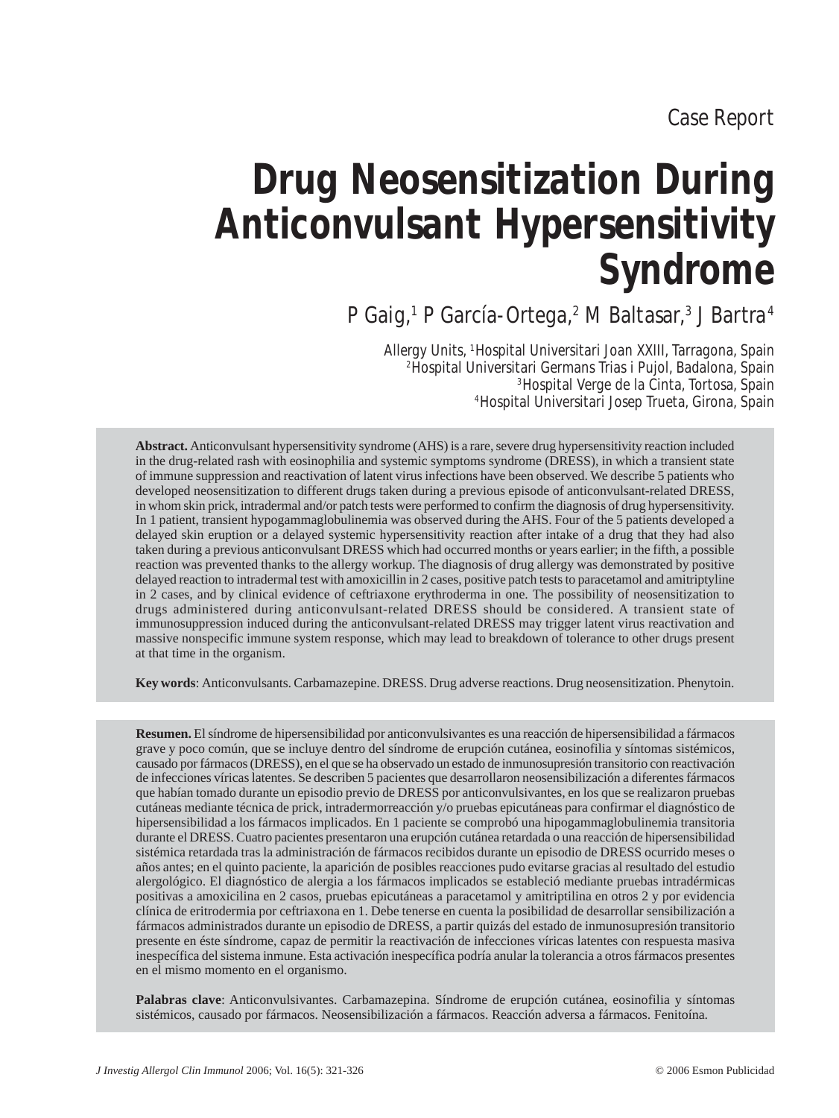# **Drug Neosensitization During Anticonvulsant Hypersensitivity Syndrome**

P Gaig,<sup>1</sup> P García-Ortega,<sup>2</sup> M Baltasar,<sup>3</sup> J Bartra<sup>4</sup>

Allergy Units, 1Hospital Universitari Joan XXIII, Tarragona, Spain 2Hospital Universitari Germans Trias i Pujol, Badalona, Spain 3Hospital Verge de la Cinta, Tortosa, Spain 4Hospital Universitari Josep Trueta, Girona, Spain

**Abstract.** Anticonvulsant hypersensitivity syndrome (AHS) is a rare, severe drug hypersensitivity reaction included in the drug-related rash with eosinophilia and systemic symptoms syndrome (DRESS), in which a transient state of immune suppression and reactivation of latent virus infections have been observed. We describe 5 patients who developed neosensitization to different drugs taken during a previous episode of anticonvulsant-related DRESS, in whom skin prick, intradermal and/or patch tests were performed to confirm the diagnosis of drug hypersensitivity. In 1 patient, transient hypogammaglobulinemia was observed during the AHS. Four of the 5 patients developed a delayed skin eruption or a delayed systemic hypersensitivity reaction after intake of a drug that they had also taken during a previous anticonvulsant DRESS which had occurred months or years earlier; in the fifth, a possible reaction was prevented thanks to the allergy workup. The diagnosis of drug allergy was demonstrated by positive delayed reaction to intradermal test with amoxicillin in 2 cases, positive patch tests to paracetamol and amitriptyline in 2 cases, and by clinical evidence of ceftriaxone erythroderma in one. The possibility of neosensitization to drugs administered during anticonvulsant-related DRESS should be considered. A transient state of immunosuppression induced during the anticonvulsant-related DRESS may trigger latent virus reactivation and massive nonspecific immune system response, which may lead to breakdown of tolerance to other drugs present at that time in the organism.

**Key words**: Anticonvulsants. Carbamazepine. DRESS. Drug adverse reactions. Drug neosensitization. Phenytoin.

**Resumen.** El síndrome de hipersensibilidad por anticonvulsivantes es una reacción de hipersensibilidad a fármacos grave y poco común, que se incluye dentro del síndrome de erupción cutánea, eosinofilia y síntomas sistémicos, causado por fármacos (DRESS), en el que se ha observado un estado de inmunosupresión transitorio con reactivación de infecciones víricas latentes. Se describen 5 pacientes que desarrollaron neosensibilización a diferentes fármacos que habían tomado durante un episodio previo de DRESS por anticonvulsivantes, en los que se realizaron pruebas cutáneas mediante técnica de prick, intradermorreacción y/o pruebas epicutáneas para confirmar el diagnóstico de hipersensibilidad a los fármacos implicados. En 1 paciente se comprobó una hipogammaglobulinemia transitoria durante el DRESS. Cuatro pacientes presentaron una erupción cutánea retardada o una reacción de hipersensibilidad sistémica retardada tras la administración de fármacos recibidos durante un episodio de DRESS ocurrido meses o años antes; en el quinto paciente, la aparición de posibles reacciones pudo evitarse gracias al resultado del estudio alergológico. El diagnóstico de alergia a los fármacos implicados se estableció mediante pruebas intradérmicas positivas a amoxicilina en 2 casos, pruebas epicutáneas a paracetamol y amitriptilina en otros 2 y por evidencia clínica de eritrodermia por ceftriaxona en 1. Debe tenerse en cuenta la posibilidad de desarrollar sensibilización a fármacos administrados durante un episodio de DRESS, a partir quizás del estado de inmunosupresión transitorio presente en éste síndrome, capaz de permitir la reactivación de infecciones víricas latentes con respuesta masiva inespecífica del sistema inmune. Esta activación inespecífica podría anular la tolerancia a otros fármacos presentes en el mismo momento en el organismo.

**Palabras clave**: Anticonvulsivantes. Carbamazepina. Síndrome de erupción cutánea, eosinofilia y síntomas sistémicos, causado por fármacos. Neosensibilización a fármacos. Reacción adversa a fármacos. Fenitoína.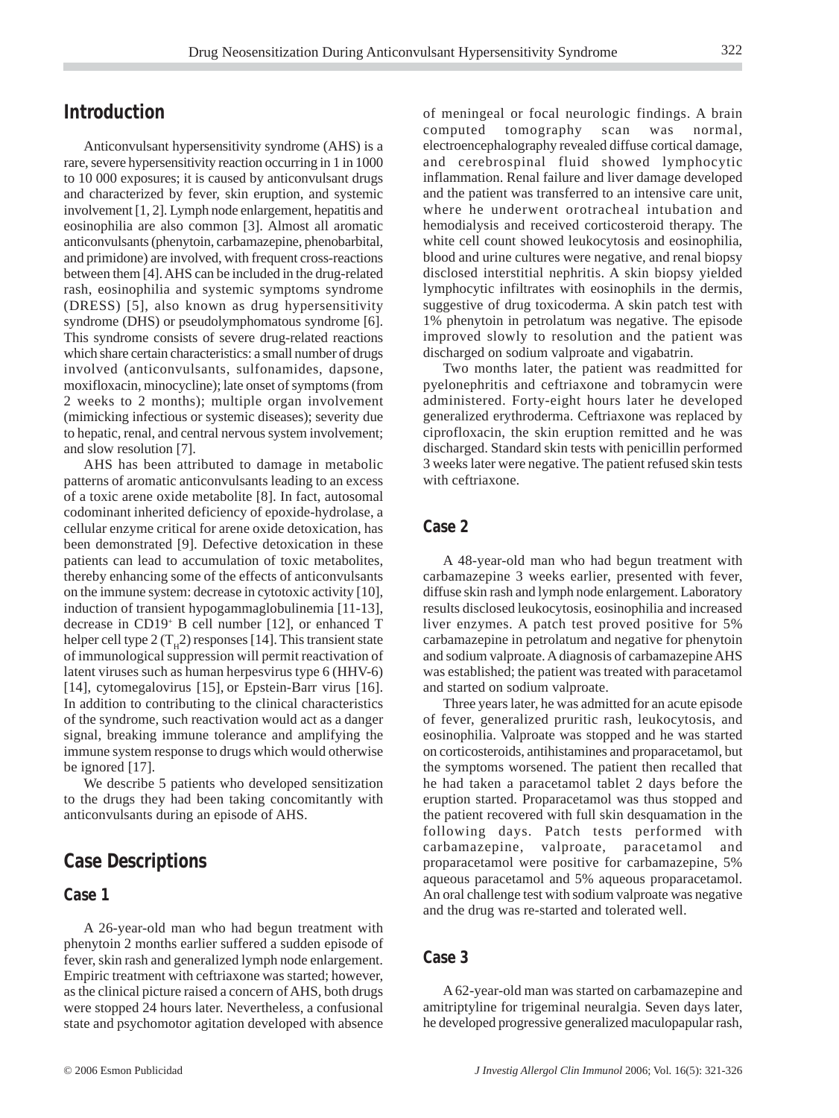## **Introduction**

Anticonvulsant hypersensitivity syndrome (AHS) is a rare, severe hypersensitivity reaction occurring in 1 in 1000 to 10 000 exposures; it is caused by anticonvulsant drugs and characterized by fever, skin eruption, and systemic involvement [1, 2]. Lymph node enlargement, hepatitis and eosinophilia are also common [3]. Almost all aromatic anticonvulsants (phenytoin, carbamazepine, phenobarbital, and primidone) are involved, with frequent cross-reactions between them [4]. AHS can be included in the drug-related rash, eosinophilia and systemic symptoms syndrome (DRESS) [5], also known as drug hypersensitivity syndrome (DHS) or pseudolymphomatous syndrome [6]. This syndrome consists of severe drug-related reactions which share certain characteristics: a small number of drugs involved (anticonvulsants, sulfonamides, dapsone, moxifloxacin, minocycline); late onset of symptoms (from 2 weeks to 2 months); multiple organ involvement (mimicking infectious or systemic diseases); severity due to hepatic, renal, and central nervous system involvement; and slow resolution [7].

AHS has been attributed to damage in metabolic patterns of aromatic anticonvulsants leading to an excess of a toxic arene oxide metabolite [8]. In fact, autosomal codominant inherited deficiency of epoxide-hydrolase, a cellular enzyme critical for arene oxide detoxication, has been demonstrated [9]. Defective detoxication in these patients can lead to accumulation of toxic metabolites, thereby enhancing some of the effects of anticonvulsants on the immune system: decrease in cytotoxic activity [10], induction of transient hypogammaglobulinemia [11-13], decrease in CD19+ B cell number [12], or enhanced T helper cell type 2 ( $T<sub>H</sub>$ 2) responses [14]. This transient state of immunological suppression will permit reactivation of latent viruses such as human herpesvirus type 6 (HHV-6) [14], cytomegalovirus [15], or Epstein-Barr virus [16]. In addition to contributing to the clinical characteristics of the syndrome, such reactivation would act as a danger signal, breaking immune tolerance and amplifying the immune system response to drugs which would otherwise be ignored [17].

We describe 5 patients who developed sensitization to the drugs they had been taking concomitantly with anticonvulsants during an episode of AHS.

## **Case Descriptions**

### **Case 1**

A 26-year-old man who had begun treatment with phenytoin 2 months earlier suffered a sudden episode of fever, skin rash and generalized lymph node enlargement. Empiric treatment with ceftriaxone was started; however, as the clinical picture raised a concern of AHS, both drugs were stopped 24 hours later. Nevertheless, a confusional state and psychomotor agitation developed with absence of meningeal or focal neurologic findings. A brain computed tomography scan was normal, electroencephalography revealed diffuse cortical damage, and cerebrospinal fluid showed lymphocytic inflammation. Renal failure and liver damage developed and the patient was transferred to an intensive care unit, where he underwent orotracheal intubation and hemodialysis and received corticosteroid therapy. The white cell count showed leukocytosis and eosinophilia, blood and urine cultures were negative, and renal biopsy disclosed interstitial nephritis. A skin biopsy yielded lymphocytic infiltrates with eosinophils in the dermis, suggestive of drug toxicoderma. A skin patch test with 1% phenytoin in petrolatum was negative. The episode improved slowly to resolution and the patient was discharged on sodium valproate and vigabatrin.

Two months later, the patient was readmitted for pyelonephritis and ceftriaxone and tobramycin were administered. Forty-eight hours later he developed generalized erythroderma. Ceftriaxone was replaced by ciprofloxacin, the skin eruption remitted and he was discharged. Standard skin tests with penicillin performed 3 weeks later were negative. The patient refused skin tests with ceftriaxone.

#### **Case 2**

A 48-year-old man who had begun treatment with carbamazepine 3 weeks earlier, presented with fever, diffuse skin rash and lymph node enlargement. Laboratory results disclosed leukocytosis, eosinophilia and increased liver enzymes. A patch test proved positive for 5% carbamazepine in petrolatum and negative for phenytoin and sodium valproate. A diagnosis of carbamazepine AHS was established; the patient was treated with paracetamol and started on sodium valproate.

Three years later, he was admitted for an acute episode of fever, generalized pruritic rash, leukocytosis, and eosinophilia. Valproate was stopped and he was started on corticosteroids, antihistamines and proparacetamol, but the symptoms worsened. The patient then recalled that he had taken a paracetamol tablet 2 days before the eruption started. Proparacetamol was thus stopped and the patient recovered with full skin desquamation in the following days. Patch tests performed with carbamazepine, valproate, paracetamol and proparacetamol were positive for carbamazepine, 5% aqueous paracetamol and 5% aqueous proparacetamol. An oral challenge test with sodium valproate was negative and the drug was re-started and tolerated well.

#### **Case 3**

A 62-year-old man was started on carbamazepine and amitriptyline for trigeminal neuralgia. Seven days later, he developed progressive generalized maculopapular rash,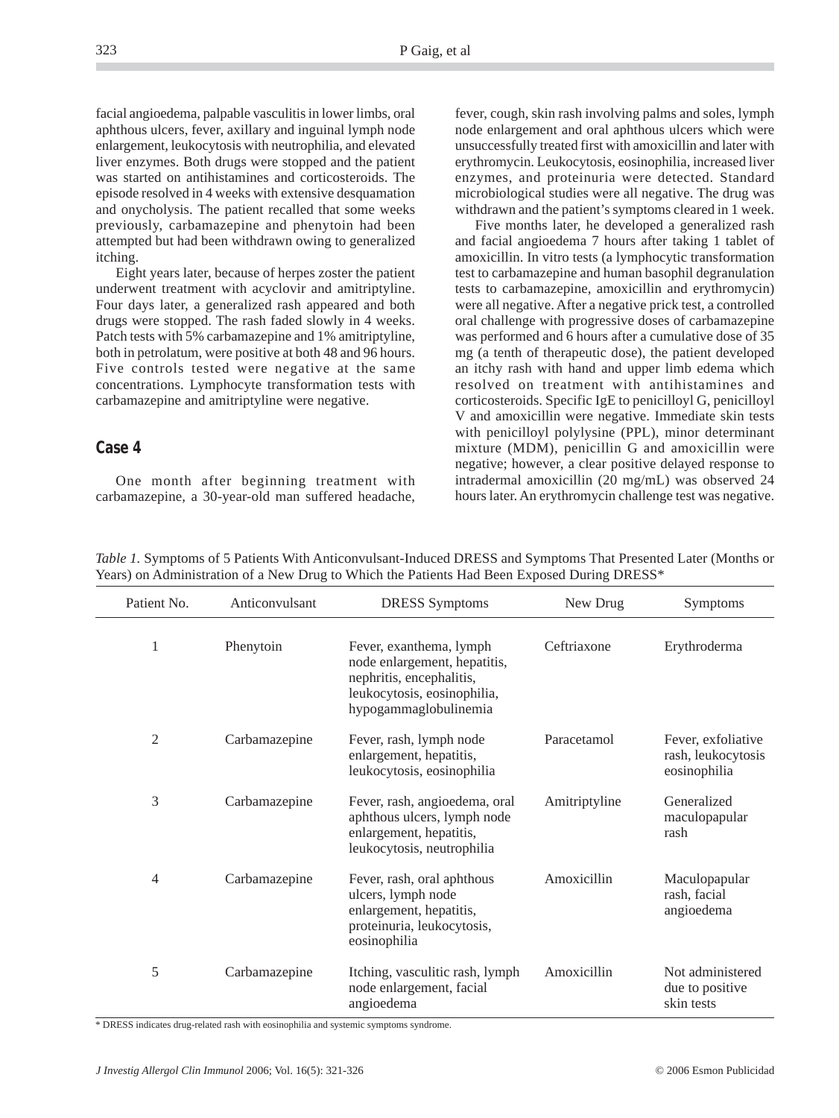facial angioedema, palpable vasculitis in lower limbs, oral aphthous ulcers, fever, axillary and inguinal lymph node enlargement, leukocytosis with neutrophilia, and elevated liver enzymes. Both drugs were stopped and the patient was started on antihistamines and corticosteroids. The episode resolved in 4 weeks with extensive desquamation and onycholysis. The patient recalled that some weeks previously, carbamazepine and phenytoin had been attempted but had been withdrawn owing to generalized itching.

Eight years later, because of herpes zoster the patient underwent treatment with acyclovir and amitriptyline. Four days later, a generalized rash appeared and both drugs were stopped. The rash faded slowly in 4 weeks. Patch tests with 5% carbamazepine and 1% amitriptyline, both in petrolatum, were positive at both 48 and 96 hours. Five controls tested were negative at the same concentrations. Lymphocyte transformation tests with carbamazepine and amitriptyline were negative.

#### **Case 4**

One month after beginning treatment with carbamazepine, a 30-year-old man suffered headache, fever, cough, skin rash involving palms and soles, lymph node enlargement and oral aphthous ulcers which were unsuccessfully treated first with amoxicillin and later with erythromycin. Leukocytosis, eosinophilia, increased liver enzymes, and proteinuria were detected. Standard microbiological studies were all negative. The drug was withdrawn and the patient's symptoms cleared in 1 week.

Five months later, he developed a generalized rash and facial angioedema 7 hours after taking 1 tablet of amoxicillin. In vitro tests (a lymphocytic transformation test to carbamazepine and human basophil degranulation tests to carbamazepine, amoxicillin and erythromycin) were all negative. After a negative prick test, a controlled oral challenge with progressive doses of carbamazepine was performed and 6 hours after a cumulative dose of 35 mg (a tenth of therapeutic dose), the patient developed an itchy rash with hand and upper limb edema which resolved on treatment with antihistamines and corticosteroids. Specific IgE to penicilloyl G, penicilloyl V and amoxicillin were negative. Immediate skin tests with penicilloyl polylysine (PPL), minor determinant mixture (MDM), penicillin G and amoxicillin were negative; however, a clear positive delayed response to intradermal amoxicillin (20 mg/mL) was observed 24 hours later. An erythromycin challenge test was negative.

*Table 1.* Symptoms of 5 Patients With Anticonvulsant-Induced DRESS and Symptoms That Presented Later (Months or Years) on Administration of a New Drug to Which the Patients Had Been Exposed During DRESS\*

| Patient No.    | Anticonvulsant | <b>DRESS</b> Symptoms                                                                                                                       | New Drug      | Symptoms                                                 |  |
|----------------|----------------|---------------------------------------------------------------------------------------------------------------------------------------------|---------------|----------------------------------------------------------|--|
| 1              | Phenytoin      | Fever, exanthema, lymph<br>node enlargement, hepatitis,<br>nephritis, encephalitis,<br>leukocytosis, eosinophilia,<br>hypogammaglobulinemia | Ceftriaxone   | Erythroderma                                             |  |
| $\overline{2}$ | Carbamazepine  | Fever, rash, lymph node<br>enlargement, hepatitis,<br>leukocytosis, eosinophilia                                                            | Paracetamol   | Fever, exfoliative<br>rash, leukocytosis<br>eosinophilia |  |
| 3              | Carbamazepine  | Fever, rash, angioedema, oral<br>aphthous ulcers, lymph node<br>enlargement, hepatitis,<br>leukocytosis, neutrophilia                       | Amitriptyline | Generalized<br>maculopapular<br>rash                     |  |
| 4              | Carbamazepine  | Fever, rash, oral aphthous<br>ulcers, lymph node<br>enlargement, hepatitis,<br>proteinuria, leukocytosis,<br>eosinophilia                   | Amoxicillin   | Maculopapular<br>rash, facial<br>angioedema              |  |
| 5              | Carbamazepine  | Itching, vasculitic rash, lymph<br>node enlargement, facial<br>angioedema                                                                   | Amoxicillin   | Not administered<br>due to positive<br>skin tests        |  |

\* DRESS indicates drug-related rash with eosinophilia and systemic symptoms syndrome.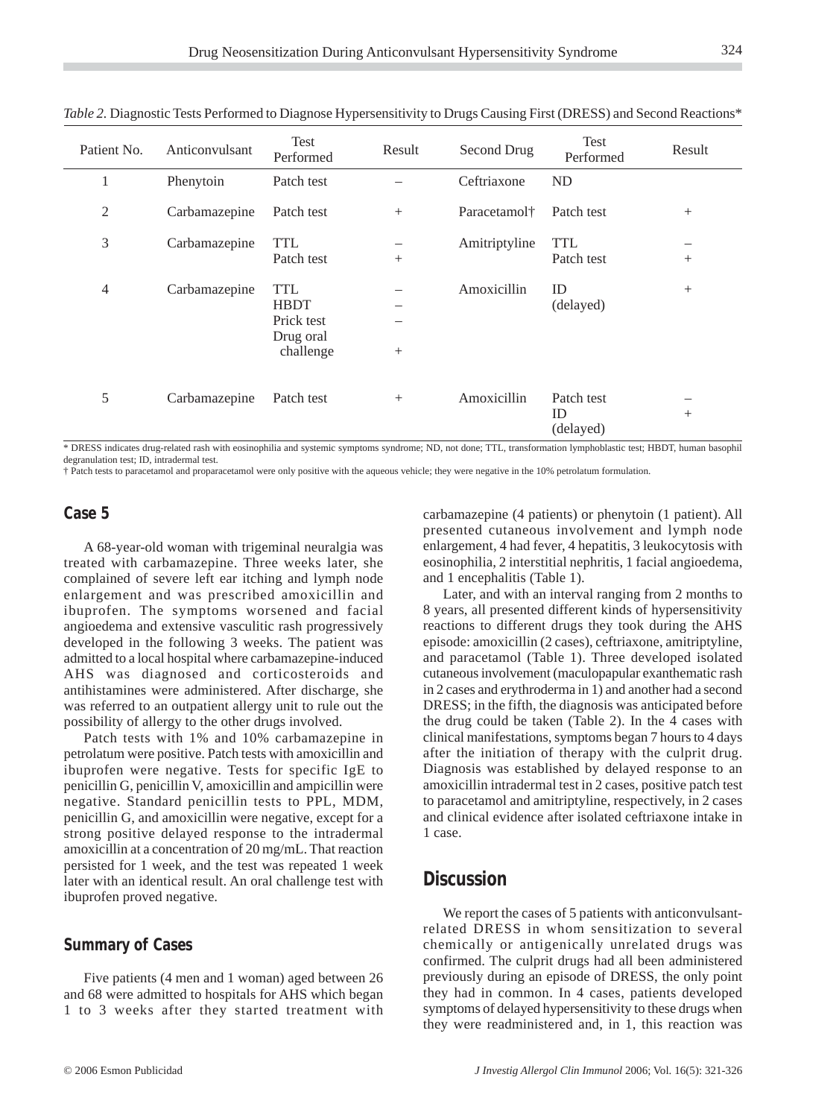| Patient No.    | Anticonvulsant | Test<br>Performed                                                 | Result | Second Drug              | Test<br>Performed             | Result |
|----------------|----------------|-------------------------------------------------------------------|--------|--------------------------|-------------------------------|--------|
| 1              | Phenytoin      | Patch test                                                        |        | Ceftriaxone              | <b>ND</b>                     |        |
| $\mathfrak{2}$ | Carbamazepine  | Patch test                                                        | $+$    | Paracetamol <sup>+</sup> | Patch test                    | $^{+}$ |
| 3              | Carbamazepine  | <b>TTL</b><br>Patch test                                          | $^{+}$ | Amitriptyline            | <b>TTL</b><br>Patch test      | $^{+}$ |
| 4              | Carbamazepine  | <b>TTL</b><br><b>HBDT</b><br>Prick test<br>Drug oral<br>challenge | $^{+}$ | Amoxicillin              | ID<br>(delayed)               | $^{+}$ |
| 5              | Carbamazepine  | Patch test                                                        | $+$    | Amoxicillin              | Patch test<br>ID<br>(delayed) | $^{+}$ |

*Table 2.* Diagnostic Tests Performed to Diagnose Hypersensitivity to Drugs Causing First (DRESS) and Second Reactions\*

\* DRESS indicates drug-related rash with eosinophilia and systemic symptoms syndrome; ND, not done; TTL, transformation lymphoblastic test; HBDT, human basophil degranulation test; ID, intradermal test.

† Patch tests to paracetamol and proparacetamol were only positive with the aqueous vehicle; they were negative in the 10% petrolatum formulation.

#### **Case 5**

A 68-year-old woman with trigeminal neuralgia was treated with carbamazepine. Three weeks later, she complained of severe left ear itching and lymph node enlargement and was prescribed amoxicillin and ibuprofen. The symptoms worsened and facial angioedema and extensive vasculitic rash progressively developed in the following 3 weeks. The patient was admitted to a local hospital where carbamazepine-induced AHS was diagnosed and corticosteroids and antihistamines were administered. After discharge, she was referred to an outpatient allergy unit to rule out the possibility of allergy to the other drugs involved.

Patch tests with 1% and 10% carbamazepine in petrolatum were positive. Patch tests with amoxicillin and ibuprofen were negative. Tests for specific IgE to penicillin G, penicillin V, amoxicillin and ampicillin were negative. Standard penicillin tests to PPL, MDM, penicillin G, and amoxicillin were negative, except for a strong positive delayed response to the intradermal amoxicillin at a concentration of 20 mg/mL. That reaction persisted for 1 week, and the test was repeated 1 week later with an identical result. An oral challenge test with ibuprofen proved negative.

#### **Summary of Cases**

Five patients (4 men and 1 woman) aged between 26 and 68 were admitted to hospitals for AHS which began 1 to 3 weeks after they started treatment with carbamazepine (4 patients) or phenytoin (1 patient). All presented cutaneous involvement and lymph node enlargement, 4 had fever, 4 hepatitis, 3 leukocytosis with eosinophilia, 2 interstitial nephritis, 1 facial angioedema, and 1 encephalitis (Table 1).

Later, and with an interval ranging from 2 months to 8 years, all presented different kinds of hypersensitivity reactions to different drugs they took during the AHS episode: amoxicillin (2 cases), ceftriaxone, amitriptyline, and paracetamol (Table 1). Three developed isolated cutaneous involvement (maculopapular exanthematic rash in 2 cases and erythroderma in 1) and another had a second DRESS; in the fifth, the diagnosis was anticipated before the drug could be taken (Table 2). In the 4 cases with clinical manifestations, symptoms began 7 hours to 4 days after the initiation of therapy with the culprit drug. Diagnosis was established by delayed response to an amoxicillin intradermal test in 2 cases, positive patch test to paracetamol and amitriptyline, respectively, in 2 cases and clinical evidence after isolated ceftriaxone intake in 1 case.

## **Discussion**

We report the cases of 5 patients with anticonvulsantrelated DRESS in whom sensitization to several chemically or antigenically unrelated drugs was confirmed. The culprit drugs had all been administered previously during an episode of DRESS, the only point they had in common. In 4 cases, patients developed symptoms of delayed hypersensitivity to these drugs when they were readministered and, in 1, this reaction was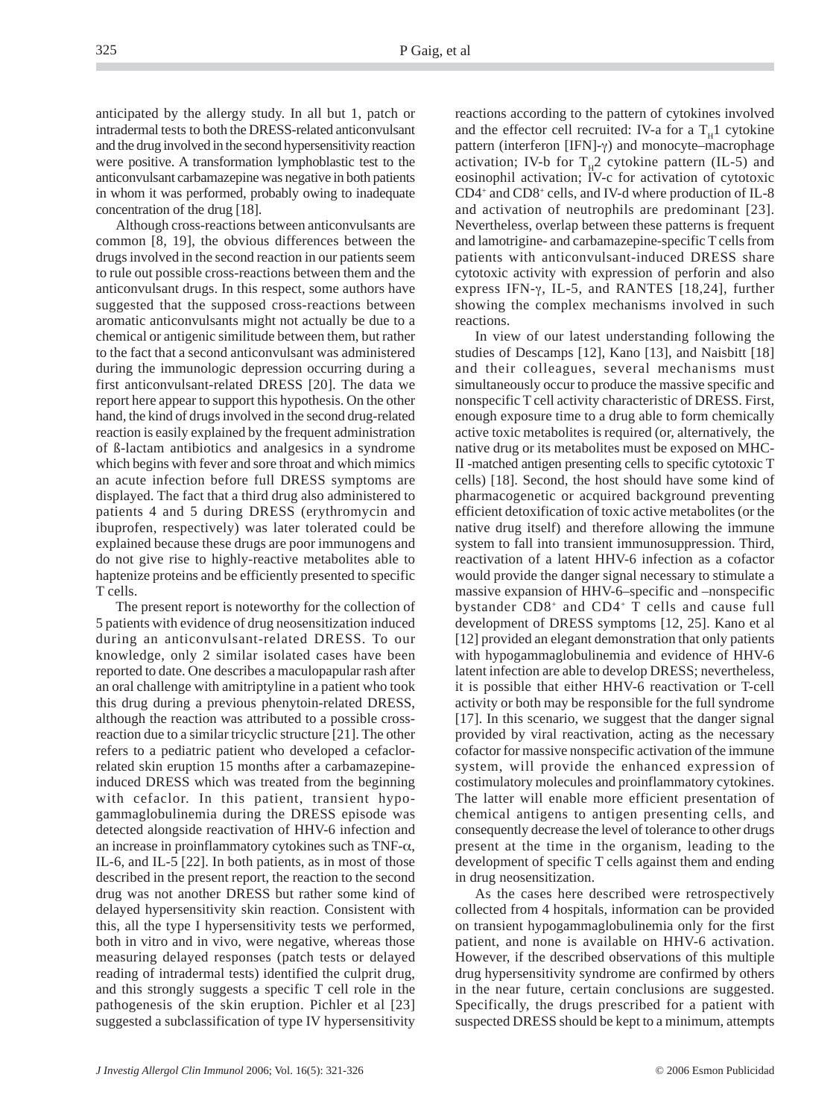anticipated by the allergy study. In all but 1, patch or intradermal tests to both the DRESS-related anticonvulsant and the drug involved in the second hypersensitivity reaction were positive. A transformation lymphoblastic test to the anticonvulsant carbamazepine was negative in both patients in whom it was performed, probably owing to inadequate concentration of the drug [18].

Although cross-reactions between anticonvulsants are common [8, 19], the obvious differences between the drugs involved in the second reaction in our patients seem to rule out possible cross-reactions between them and the anticonvulsant drugs. In this respect, some authors have suggested that the supposed cross-reactions between aromatic anticonvulsants might not actually be due to a chemical or antigenic similitude between them, but rather to the fact that a second anticonvulsant was administered during the immunologic depression occurring during a first anticonvulsant-related DRESS [20]. The data we report here appear to support this hypothesis. On the other hand, the kind of drugs involved in the second drug-related reaction is easily explained by the frequent administration of ß-lactam antibiotics and analgesics in a syndrome which begins with fever and sore throat and which mimics an acute infection before full DRESS symptoms are displayed. The fact that a third drug also administered to patients 4 and 5 during DRESS (erythromycin and ibuprofen, respectively) was later tolerated could be explained because these drugs are poor immunogens and do not give rise to highly-reactive metabolites able to haptenize proteins and be efficiently presented to specific T cells.

The present report is noteworthy for the collection of 5 patients with evidence of drug neosensitization induced during an anticonvulsant-related DRESS. To our knowledge, only 2 similar isolated cases have been reported to date. One describes a maculopapular rash after an oral challenge with amitriptyline in a patient who took this drug during a previous phenytoin-related DRESS, although the reaction was attributed to a possible crossreaction due to a similar tricyclic structure [21]. The other refers to a pediatric patient who developed a cefaclorrelated skin eruption 15 months after a carbamazepineinduced DRESS which was treated from the beginning with cefaclor. In this patient, transient hypogammaglobulinemia during the DRESS episode was detected alongside reactivation of HHV-6 infection and an increase in proinflammatory cytokines such as TNF-α, IL-6, and IL-5 [22]. In both patients, as in most of those described in the present report, the reaction to the second drug was not another DRESS but rather some kind of delayed hypersensitivity skin reaction. Consistent with this, all the type I hypersensitivity tests we performed, both in vitro and in vivo, were negative, whereas those measuring delayed responses (patch tests or delayed reading of intradermal tests) identified the culprit drug, and this strongly suggests a specific T cell role in the pathogenesis of the skin eruption. Pichler et al [23] suggested a subclassification of type IV hypersensitivity

reactions according to the pattern of cytokines involved and the effector cell recruited: IV-a for a  $T<sub>H</sub>1$  cytokine pattern (interferon [IFN]-γ) and monocyte–macrophage activation; IV-b for  $T<sub>H</sub>2$  cytokine pattern (IL-5) and eosinophil activation; IV-c for activation of cytotoxic CD4+ and CD8+ cells, and IV-d where production of IL-8 and activation of neutrophils are predominant [23]. Nevertheless, overlap between these patterns is frequent and lamotrigine- and carbamazepine-specific T cells from patients with anticonvulsant-induced DRESS share cytotoxic activity with expression of perforin and also express IFN- $\gamma$ , IL-5, and RANTES [18,24], further showing the complex mechanisms involved in such reactions.

In view of our latest understanding following the studies of Descamps [12], Kano [13], and Naisbitt [18] and their colleagues, several mechanisms must simultaneously occur to produce the massive specific and nonspecific T cell activity characteristic of DRESS. First, enough exposure time to a drug able to form chemically active toxic metabolites is required (or, alternatively, the native drug or its metabolites must be exposed on MHC-II -matched antigen presenting cells to specific cytotoxic T cells) [18]. Second, the host should have some kind of pharmacogenetic or acquired background preventing efficient detoxification of toxic active metabolites (or the native drug itself) and therefore allowing the immune system to fall into transient immunosuppression. Third, reactivation of a latent HHV-6 infection as a cofactor would provide the danger signal necessary to stimulate a massive expansion of HHV-6–specific and –nonspecific bystander CD8+ and CD4+ T cells and cause full development of DRESS symptoms [12, 25]. Kano et al [12] provided an elegant demonstration that only patients with hypogammaglobulinemia and evidence of HHV-6 latent infection are able to develop DRESS; nevertheless, it is possible that either HHV-6 reactivation or T-cell activity or both may be responsible for the full syndrome [17]. In this scenario, we suggest that the danger signal provided by viral reactivation, acting as the necessary cofactor for massive nonspecific activation of the immune system, will provide the enhanced expression of costimulatory molecules and proinflammatory cytokines. The latter will enable more efficient presentation of chemical antigens to antigen presenting cells, and consequently decrease the level of tolerance to other drugs present at the time in the organism, leading to the development of specific T cells against them and ending in drug neosensitization.

As the cases here described were retrospectively collected from 4 hospitals, information can be provided on transient hypogammaglobulinemia only for the first patient, and none is available on HHV-6 activation. However, if the described observations of this multiple drug hypersensitivity syndrome are confirmed by others in the near future, certain conclusions are suggested. Specifically, the drugs prescribed for a patient with suspected DRESS should be kept to a minimum, attempts